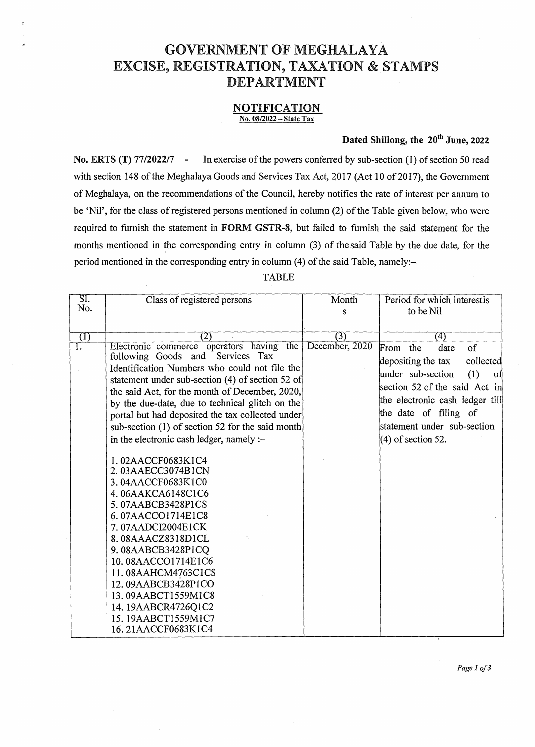## GOVERNMENT OF MEGHALAYA EXCISE, REGISTRATION, TAXATION & STAMPS DEPARTMENT

## NOTIFICATION No. 08/2022 - State Tax

## Dated Shillong, the 20<sup>th</sup> June, 2022

No. ERTS (T) 77/2022/7 - In exercise of the powers conferred by sub-section (1) of section 50 read with section 148 of the Meghalaya Goods and Services Tax Act, 2017 (Act 10 of 2017), the Government of Meghalaya, on the recommendations of the Council, hereby notifies the rate of interest per annum to be 'Nil', for the class of registered persons mentioned in column (2) of the Table given below, who were required to furnish the statement in FORM GSTR-8, but failed to furnish the said statement for the months mentioned in the corresponding entry in column (3) of the said Table by the due date, for the period mentioned in the corresponding entry in column (4) of the said Table, namely:-

TABLE

| $\overline{\text{SI.}}$ | Class of registered persons                                                                                                                                                                                                                                                                                                                                                                                                                                                                                                                                                                                                                                                               | Month          | Period for which interestis                                                                                                                                                                                                                                |  |  |
|-------------------------|-------------------------------------------------------------------------------------------------------------------------------------------------------------------------------------------------------------------------------------------------------------------------------------------------------------------------------------------------------------------------------------------------------------------------------------------------------------------------------------------------------------------------------------------------------------------------------------------------------------------------------------------------------------------------------------------|----------------|------------------------------------------------------------------------------------------------------------------------------------------------------------------------------------------------------------------------------------------------------------|--|--|
| No.                     |                                                                                                                                                                                                                                                                                                                                                                                                                                                                                                                                                                                                                                                                                           | S              | to be Nil                                                                                                                                                                                                                                                  |  |  |
|                         |                                                                                                                                                                                                                                                                                                                                                                                                                                                                                                                                                                                                                                                                                           |                |                                                                                                                                                                                                                                                            |  |  |
|                         | 21                                                                                                                                                                                                                                                                                                                                                                                                                                                                                                                                                                                                                                                                                        | (3)            | (4)                                                                                                                                                                                                                                                        |  |  |
| $\left(1\right)$<br>T.  | Electronic commerce operators having<br>the<br>following Goods and<br>Services Tax<br>Identification Numbers who could not file the<br>statement under sub-section (4) of section 52 of<br>the said Act, for the month of December, 2020,<br>by the due-date, due to technical glitch on the<br>portal but had deposited the tax collected under<br>sub-section (1) of section 52 for the said month<br>in the electronic cash ledger, namely :-<br>1.02AACCF0683K1C4<br>2.03AAECC3074B1CN<br>3.04AACCF0683K1C0<br>4.06AAKCA6148C1C6<br>5.07AABCB3428P1CS<br>6.07AACCO1714E1C8<br>7.07AADCI2004E1CK<br>8.08AAACZ8318D1CL<br>9.08AABCB3428P1CQ<br>10.08AACCO1714E1C6<br>11.08AAHCM4763C1CS | December, 2020 | <sub>of</sub><br>From the<br>date<br>depositing the tax<br>collected<br>under sub-section<br>(1)<br>оf<br>section 52 of the said Act in<br>the electronic cash ledger till<br>the date of filing of<br>statement under sub-section<br>$(4)$ of section 52. |  |  |
|                         | 12.09AABCB3428P1CO<br>13.09AABCT1559M1C8                                                                                                                                                                                                                                                                                                                                                                                                                                                                                                                                                                                                                                                  |                |                                                                                                                                                                                                                                                            |  |  |
|                         | 14.19AABCR4726Q1C2                                                                                                                                                                                                                                                                                                                                                                                                                                                                                                                                                                                                                                                                        |                |                                                                                                                                                                                                                                                            |  |  |
|                         | 15.19AABCT1559M1C7                                                                                                                                                                                                                                                                                                                                                                                                                                                                                                                                                                                                                                                                        |                |                                                                                                                                                                                                                                                            |  |  |
|                         | 16.21AACCF0683K1C4                                                                                                                                                                                                                                                                                                                                                                                                                                                                                                                                                                                                                                                                        |                |                                                                                                                                                                                                                                                            |  |  |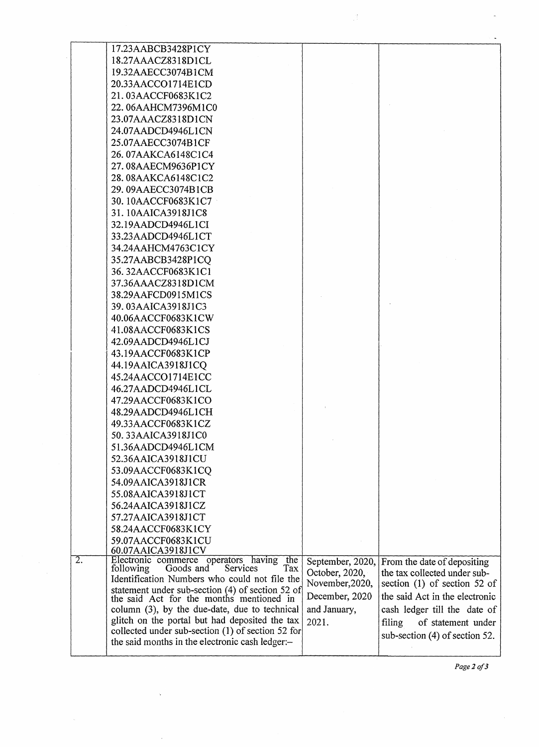|                  | 17.23AABCB3428P1CY                                                                           |                  |                                |
|------------------|----------------------------------------------------------------------------------------------|------------------|--------------------------------|
|                  | 18.27AAACZ8318D1CL                                                                           |                  |                                |
|                  | 19.32AAECC3074B1CM                                                                           |                  |                                |
|                  | 20.33AACCO1714E1CD                                                                           |                  |                                |
|                  | 21.03AACCF0683K1C2                                                                           |                  |                                |
|                  | 22.06AAHCM7396M1C0                                                                           |                  |                                |
|                  | 23.07AAACZ8318D1CN                                                                           |                  |                                |
|                  | 24.07AADCD4946L1CN                                                                           |                  |                                |
|                  | 25.07AAECC3074B1CF                                                                           |                  |                                |
|                  | 26.07AAKCA6148C1C4                                                                           |                  |                                |
|                  | 27.08AAECM9636P1CY                                                                           |                  |                                |
|                  | 28.08AAKCA6148C1C2                                                                           |                  |                                |
|                  | 29.09AAECC3074B1CB                                                                           |                  |                                |
|                  | 30.10AACCF0683K1C7                                                                           |                  |                                |
|                  | 31.10AAICA3918J1C8                                                                           |                  |                                |
|                  | 32.19AADCD4946L1CI                                                                           |                  |                                |
|                  |                                                                                              |                  |                                |
|                  | 33.23AADCD4946L1CT                                                                           |                  |                                |
|                  | 34.24AAHCM4763C1CY                                                                           |                  |                                |
|                  | 35.27AABCB3428P1CO                                                                           |                  |                                |
|                  | 36.32AACCF0683K1C1                                                                           |                  |                                |
|                  | 37.36AAACZ8318D1CM                                                                           |                  |                                |
|                  | 38.29AAFCD0915M1CS                                                                           |                  |                                |
|                  | 39.03AAICA3918J1C3                                                                           |                  |                                |
|                  | 40.06AACCF0683K1CW                                                                           |                  |                                |
|                  | 41.08AACCF0683K1CS                                                                           |                  |                                |
|                  | 42.09AADCD4946L1CJ                                                                           |                  |                                |
|                  | 43.19AACCF0683K1CP                                                                           |                  |                                |
|                  | 44.19AAICA3918J1CQ                                                                           |                  |                                |
|                  | 45.24AACCO1714E1CC                                                                           |                  |                                |
|                  | 46.27AADCD4946L1CL                                                                           |                  |                                |
|                  | 47.29AACCF0683K1CO                                                                           |                  |                                |
|                  | 48.29AADCD4946L1CH                                                                           |                  |                                |
|                  | 49.33AACCF0683K1CZ                                                                           |                  |                                |
|                  | 50.33AAICA3918J1C0                                                                           |                  |                                |
|                  | 51.36AADCD4946L1CM                                                                           |                  |                                |
|                  | 52.36AAICA3918J1CU                                                                           |                  |                                |
|                  | 53.09AACCF0683K1CQ                                                                           |                  |                                |
|                  | 54.09AAICA3918J1CR                                                                           |                  |                                |
|                  | 55.08AAICA3918J1CT                                                                           |                  |                                |
|                  | 56.24AAICA3918J1CZ                                                                           |                  |                                |
|                  | 57.27AAICA3918J1CT                                                                           |                  |                                |
|                  | 58.24AACCF0683K1CY                                                                           |                  |                                |
|                  | 59.07AACCF0683K1CU                                                                           |                  |                                |
|                  | 60.07AAICA3918J1CV                                                                           |                  |                                |
| $\overline{2}$ . | Electronic commerce operators having the following Goods and Services Tax                    | September, 2020, | From the date of depositing    |
|                  | Tax<br>Identification Numbers who could not file the                                         | October, 2020,   | the tax collected under sub-   |
|                  |                                                                                              | November, 2020,  | section $(1)$ of section 52 of |
|                  | statement under sub-section (4) of section 52 of<br>the said Act for the months mentioned in | December, 2020   | the said Act in the electronic |
|                  | column (3), by the due-date, due to technical                                                | and January,     | cash ledger till the date of   |
|                  | glitch on the portal but had deposited the tax                                               | 2021.            | of statement under<br>filing   |
|                  | collected under sub-section (1) of section 52 for                                            |                  | sub-section (4) of section 52. |
|                  | the said months in the electronic cash ledger:-                                              |                  |                                |
|                  |                                                                                              |                  |                                |

 $\frac{1}{2}$ 

*Page2of3*